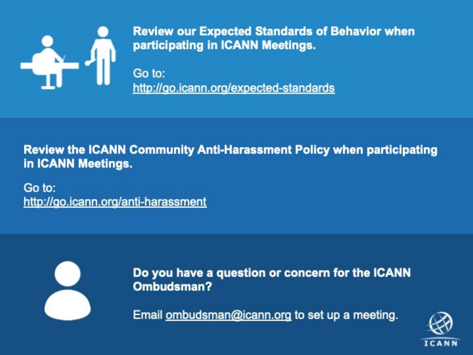

**Review our Expected Standards of Behavior when** participating in ICANN Meetings.

Go to: http://go.icann.org/expected-standards

**Review the ICANN Community Anti-Harassment Policy when participating** in ICANN Meetings.

Go to: http://go.icann.org/anti-harassment



Do you have a question or concern for the ICANN Ombudsman?

Email ombudsman@icann.org to set up a meeting.

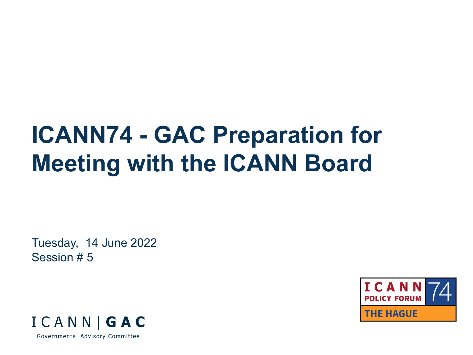# **ICANN74 - GAC Preparation for Meeting with the ICANN Board**

Tuesday, 14 June 2022 Session # 5



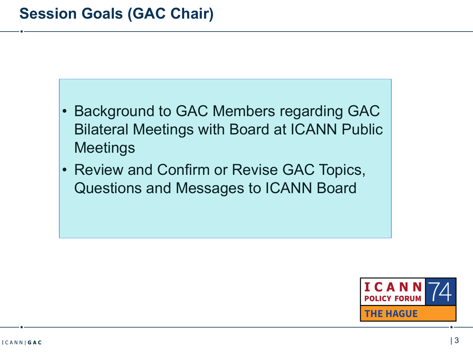- Background to GAC Members regarding GAC Bilateral Meetings with Board at ICANN Public **Meetings**
- Review and Confirm or Revise GAC Topics, Questions and Messages to ICANN Board

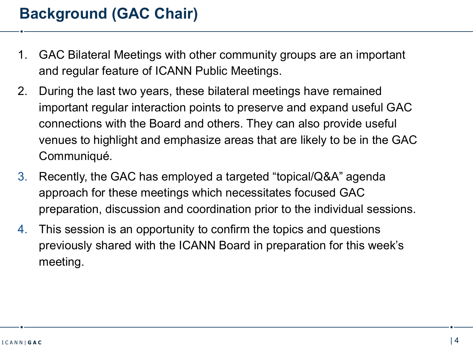- 1. GAC Bilateral Meetings with other community groups are an important and regular feature of ICANN Public Meetings.
- 2. During the last two years, these bilateral meetings have remained important regular interaction points to preserve and expand useful GAC connections with the Board and others. They can also provide useful venues to highlight and emphasize areas that are likely to be in the GAC Communiqué.
- 3. Recently, the GAC has employed a targeted "topical/Q&A" agenda approach for these meetings which necessitates focused GAC preparation, discussion and coordination prior to the individual sessions.
- 4. This session is an opportunity to confirm the topics and questions previously shared with the ICANN Board in preparation for this week's meeting.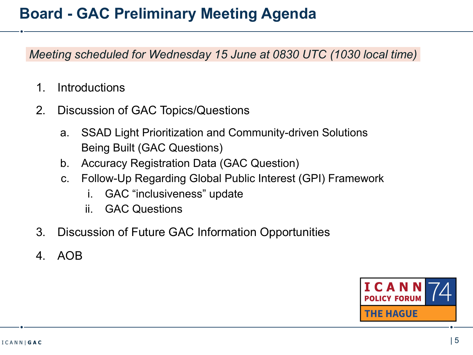# **Board - GAC Preliminary Meeting Agenda**

 *Meeting scheduled for Wednesday 15 June at 0830 UTC (1030 local time)*

- 1. Introductions
- 2. Discussion of GAC Topics/Questions
	- a. SSAD Light Prioritization and Community-driven Solutions Being Built (GAC Questions)
	- b. Accuracy Registration Data (GAC Question)
	- c. Follow-Up Regarding Global Public Interest (GPI) Framework
		- i. GAC "inclusiveness" update
		- ii. GAC Questions
- 3. Discussion of Future GAC Information Opportunities
- 4. AOB

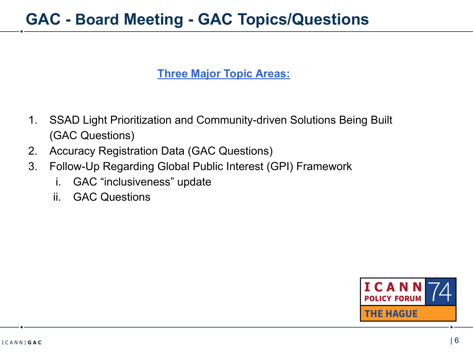### **GAC - Board Meeting - GAC Topics/Questions**

#### **Three Major Topic Areas:**

- 1. SSAD Light Prioritization and Community-driven Solutions Being Built (GAC Questions)
- 2. Accuracy Registration Data (GAC Questions)
- 3. Follow-Up Regarding Global Public Interest (GPI) Framework
	- i. GAC "inclusiveness" update
	- ii. GAC Questions

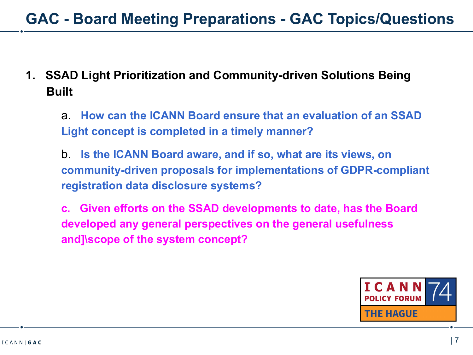### **1. SSAD Light Prioritization and Community-driven Solutions Being Built**

a. **How can the ICANN Board ensure that an evaluation of an SSAD Light concept is completed in a timely manner?**

b. **Is the ICANN Board aware, and if so, what are its views, on community-driven proposals for implementations of GDPR-compliant registration data disclosure systems?**

**c. Given efforts on the SSAD developments to date, has the Board developed any general perspectives on the general usefulness and]\scope of the system concept?**

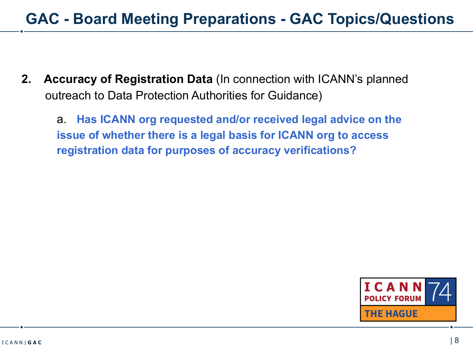**2. Accuracy of Registration Data** (In connection with ICANN's planned outreach to Data Protection Authorities for Guidance)

a. **Has ICANN org requested and/or received legal advice on the issue of whether there is a legal basis for ICANN org to access registration data for purposes of accuracy verifications?**

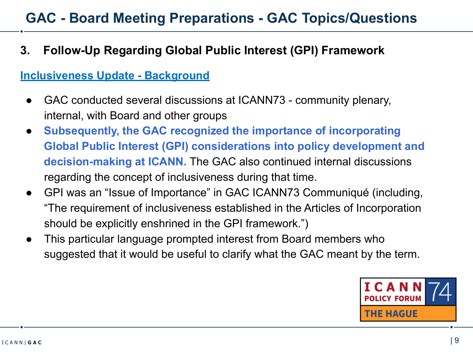### **3. Follow-Up Regarding Global Public Interest (GPI) Framework**

#### **Inclusiveness Update - Background**

- GAC conducted several discussions at ICANN73 community plenary, internal, with Board and other groups
- **Subsequently, the GAC recognized the importance of incorporating Global Public Interest (GPI) considerations into policy development and decision-making at ICANN.** The GAC also continued internal discussions regarding the concept of inclusiveness during that time.
- GPI was an "Issue of Importance" in GAC ICANN73 Communiqué (including, "The requirement of inclusiveness established in the Articles of Incorporation should be explicitly enshrined in the GPI framework.")
- This particular language prompted interest from Board members who suggested that it would be useful to clarify what the GAC meant by the term.

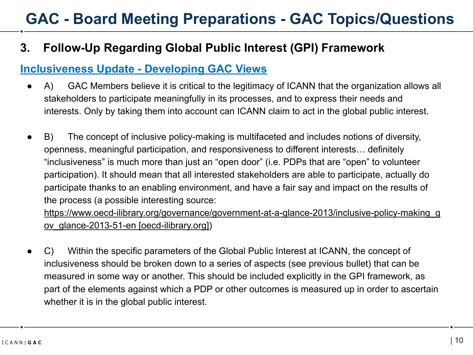### **3. Follow-Up Regarding Global Public Interest (GPI) Framework**

#### **Inclusiveness Update - Developing GAC Views**

- A) GAC Members believe it is critical to the legitimacy of ICANN that the organization allows all stakeholders to participate meaningfully in its processes, and to express their needs and interests. Only by taking them into account can ICANN claim to act in the global public interest.
- B) The concept of inclusive policy-making is multifaceted and includes notions of diversity, openness, meaningful participation, and responsiveness to different interests… definitely "inclusiveness" is much more than just an "open door" (i.e. PDPs that are "open" to volunteer participation). It should mean that all interested stakeholders are able to participate, actually do participate thanks to an enabling environment, and have a fair say and impact on the results of the process (a possible interesting source:

[https://www.oecd-ilibrary.org/governance/government-at-a-glance-2013/inclusive-policy-making\\_g](https://urldefense.com/v3/__https:/www.oecd-ilibrary.org/governance/government-at-a-glance-2013/inclusive-policy-making_gov_glance-2013-51-en__;!!PtGJab4!sWvWXjM0fDHXPABKA53MveEXnQZ_CNSly9p0wZU2EhTHtMokumVhQEfyGdqVlESgcivNVxIQkJk$) ov glance-2013-51-en [oecd-ilibrary.org])

● C) Within the specific parameters of the Global Public Interest at ICANN, the concept of inclusiveness should be broken down to a series of aspects (see previous bullet) that can be measured in some way or another. This should be included explicitly in the GPI framework, as part of the elements against which a PDP or other outcomes is measured up in order to ascertain whether it is in the global public interest.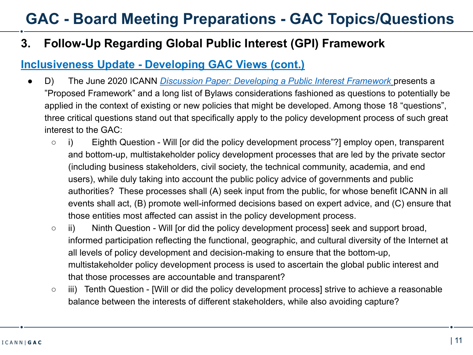### **3. Follow-Up Regarding Global Public Interest (GPI) Framework**

#### **Inclusiveness Update - Developing GAC Views (cont.)**

- D) The June 2020 ICANN *[Discussion Paper: Developing a Public Interest Framework](https://community.icann.org/display/prjxplrpublicint/GPI+Toolkit?preview=/58724547/138970274/Proposed%20Public%20Interest%20Framework_V3_22June2020%20.pdf)* presents a "Proposed Framework" and a long list of Bylaws considerations fashioned as questions to potentially be applied in the context of existing or new policies that might be developed. Among those 18 "questions", three critical questions stand out that specifically apply to the policy development process of such great interest to the GAC:
	- i) Eighth Question Will [or did the policy development process"?] employ open, transparent and bottom-up, multistakeholder policy development processes that are led by the private sector (including business stakeholders, civil society, the technical community, academia, and end users), while duly taking into account the public policy advice of governments and public authorities? These processes shall (A) seek input from the public, for whose benefit ICANN in all events shall act, (B) promote well-informed decisions based on expert advice, and (C) ensure that those entities most affected can assist in the policy development process.
	- ii) Ninth Question Will [or did the policy development process] seek and support broad, informed participation reflecting the functional, geographic, and cultural diversity of the Internet at all levels of policy development and decision-making to ensure that the bottom-up, multistakeholder policy development process is used to ascertain the global public interest and that those processes are accountable and transparent?
	- iii) Tenth Question [Will or did the policy development process] strive to achieve a reasonable balance between the interests of different stakeholders, while also avoiding capture?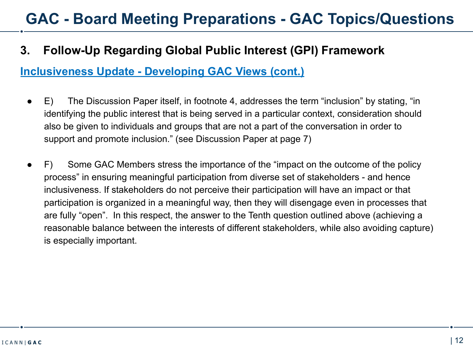#### **3. Follow-Up Regarding Global Public Interest (GPI) Framework**

#### **Inclusiveness Update - Developing GAC Views (cont.)**

- E) The Discussion Paper itself, in footnote 4, addresses the term "inclusion" by stating, "in identifying the public interest that is being served in a particular context, consideration should also be given to individuals and groups that are not a part of the conversation in order to support and promote inclusion." (see Discussion Paper at page 7)
- F) Some GAC Members stress the importance of the "impact on the outcome of the policy process" in ensuring meaningful participation from diverse set of stakeholders - and hence inclusiveness. If stakeholders do not perceive their participation will have an impact or that participation is organized in a meaningful way, then they will disengage even in processes that are fully "open". In this respect, the answer to the Tenth question outlined above (achieving a reasonable balance between the interests of different stakeholders, while also avoiding capture) is especially important.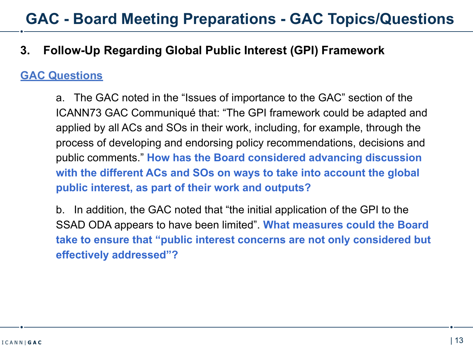#### **3. Follow-Up Regarding Global Public Interest (GPI) Framework**

#### **GAC Questions**

a. The GAC noted in the "Issues of importance to the GAC" section of the ICANN73 GAC Communiqué that: "The GPI framework could be adapted and applied by all ACs and SOs in their work, including, for example, through the process of developing and endorsing policy recommendations, decisions and public comments." **How has the Board considered advancing discussion with the different ACs and SOs on ways to take into account the global public interest, as part of their work and outputs?**

b. In addition, the GAC noted that "the initial application of the GPI to the SSAD ODA appears to have been limited". **What measures could the Board take to ensure that "public interest concerns are not only considered but effectively addressed"?**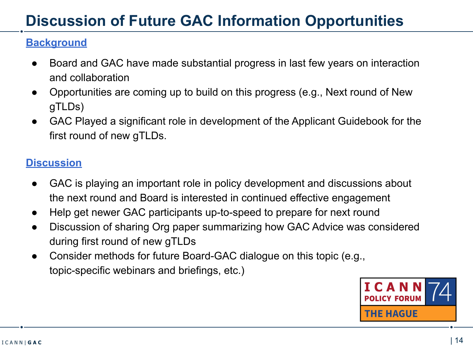# **Discussion of Future GAC Information Opportunities**

### **Background**

- Board and GAC have made substantial progress in last few years on interaction and collaboration
- Opportunities are coming up to build on this progress (e.g., Next round of New gTLDs)
- GAC Played a significant role in development of the Applicant Guidebook for the first round of new gTLDs.

#### **Discussion**

- GAC is playing an important role in policy development and discussions about the next round and Board is interested in continued effective engagement
- Help get newer GAC participants up-to-speed to prepare for next round
- Discussion of sharing Org paper summarizing how GAC Advice was considered during first round of new gTLDs
- Consider methods for future Board-GAC dialogue on this topic (e.g., topic-specific webinars and briefings, etc.)